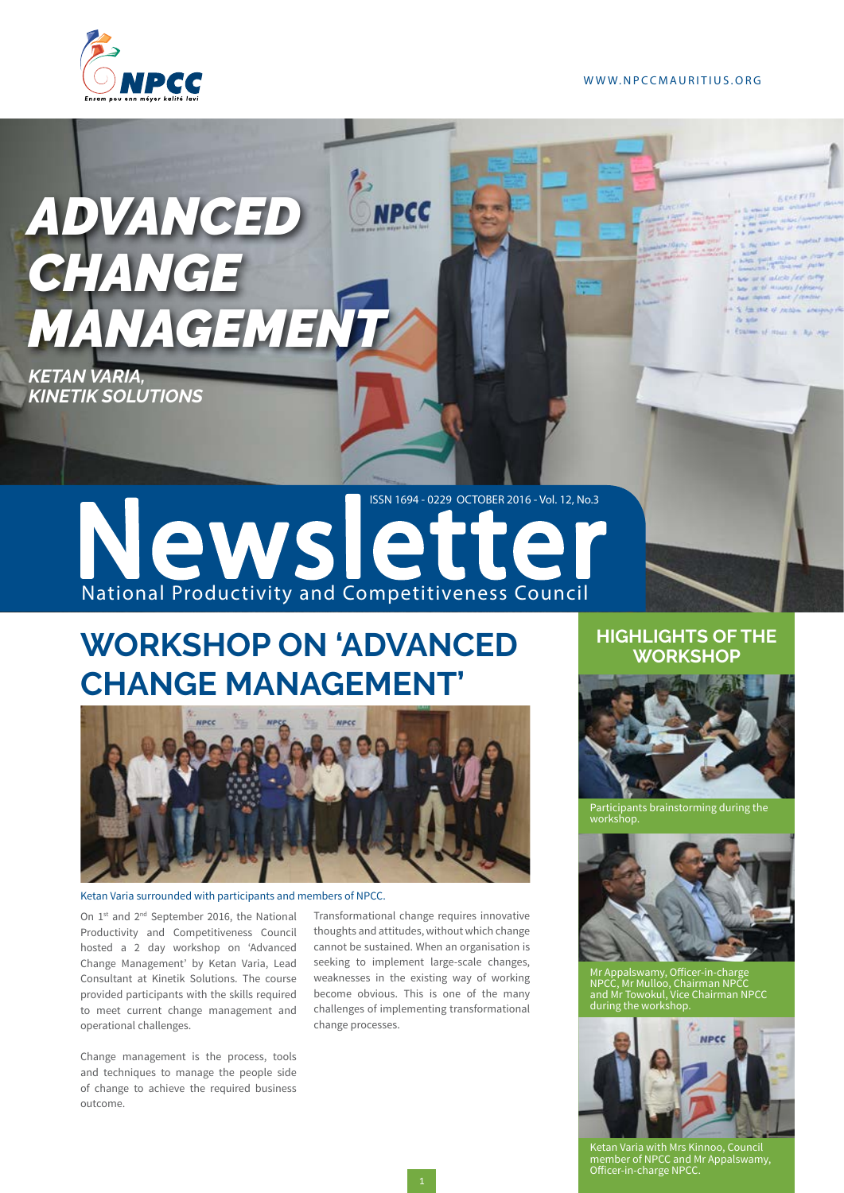

# *ADVANCED CHANGE*  **MANAGEMENT**

*KETAN VARIA, KINETIK SOLUTIONS*

> ISSN 1694 - 0229 OCTOBER 2016 - Vol. 12, No.3 Newslette National Productivity and Competitiveness Council

**NPCC** 

## **WORKSHOP ON 'ADVANCED CHANGE MANAGEMENT'**



### Ketan Varia surrounded with participants and members of NPCC.

On 1<sup>st</sup> and 2<sup>nd</sup> September 2016, the National Productivity and Competitiveness Council hosted a 2 day workshop on 'Advanced Change Management' by Ketan Varia, Lead Consultant at Kinetik Solutions. The course provided participants with the skills required to meet current change management and operational challenges.

Change management is the process, tools and techniques to manage the people side of change to achieve the required business outcome.

Transformational change requires innovative thoughts and attitudes, without which change cannot be sustained. When an organisation is seeking to implement large-scale changes, weaknesses in the existing way of working become obvious. This is one of the many challenges of implementing transformational change processes.

## **HIGHLIGHTS OF THE WORKSHOP**



Participants brainstorming during the workshop.



Mr Appalswamy, Officer-in-charge NPCC, Mr Mulloo, Chairman NPCC and Mr Towokul, Vice Chairman NPCC during the workshop.



Ketan Varia with Mrs Kinnoo, Council member of NPCC and Mr Appalswamy, Officer-in-charge NPCC.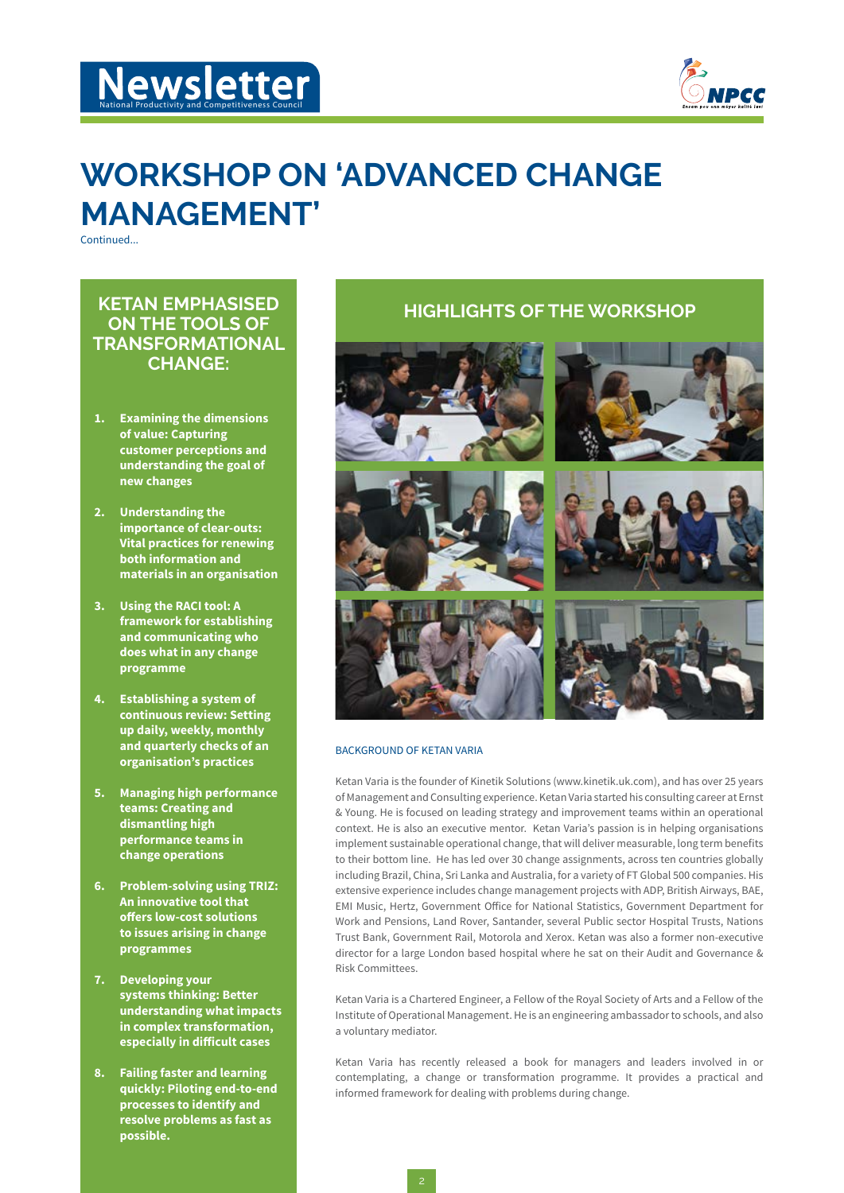



## **WORKSHOP ON 'ADVANCED CHANGE MANAGEMENT'**

Continued...

## **KETAN EMPHASISED ON THE TOOLS OF TRANSFORMATIONAL CHANGE:**

- **1. Examining the dimensions of value: Capturing customer perceptions and understanding the goal of new changes**
- **2. Understanding the importance of clear-outs: Vital practices for renewing both information and materials in an organisation**
- **3. Using the RACI tool: A framework for establishing and communicating who does what in any change programme**
- **4. Establishing a system of continuous review: Setting up daily, weekly, monthly and quarterly checks of an organisation's practices**
- **5. Managing high performance teams: Creating and dismantling high performance teams in change operations**
- **6. Problem-solving using TRIZ: An innovative tool that offers low-cost solutions to issues arising in change programmes**
- **7. Developing your systems thinking: Better understanding what impacts in complex transformation, especially in difficult cases**
- **8. Failing faster and learning quickly: Piloting end-to-end processes to identify and resolve problems as fast as possible.**

## **HIGHLIGHTS OF THE WORKSHOP**



### BACKGROUND OF KETAN VARIA

Ketan Varia is the founder of Kinetik Solutions (www.kinetik.uk.com), and has over 25 years of Management and Consulting experience. Ketan Varia started his consulting career at Ernst & Young. He is focused on leading strategy and improvement teams within an operational context. He is also an executive mentor. Ketan Varia's passion is in helping organisations implement sustainable operational change, that will deliver measurable, long term benefits to their bottom line. He has led over 30 change assignments, across ten countries globally including Brazil, China, Sri Lanka and Australia, for a variety of FT Global 500 companies. His extensive experience includes change management projects with ADP, British Airways, BAE, EMI Music, Hertz, Government Office for National Statistics, Government Department for Work and Pensions, Land Rover, Santander, several Public sector Hospital Trusts, Nations Trust Bank, Government Rail, Motorola and Xerox. Ketan was also a former non-executive director for a large London based hospital where he sat on their Audit and Governance & Risk Committees.

Ketan Varia is a Chartered Engineer, a Fellow of the Royal Society of Arts and a Fellow of the Institute of Operational Management. He is an engineering ambassador to schools, and also a voluntary mediator.

Ketan Varia has recently released a book for managers and leaders involved in or contemplating, a change or transformation programme. It provides a practical and informed framework for dealing with problems during change.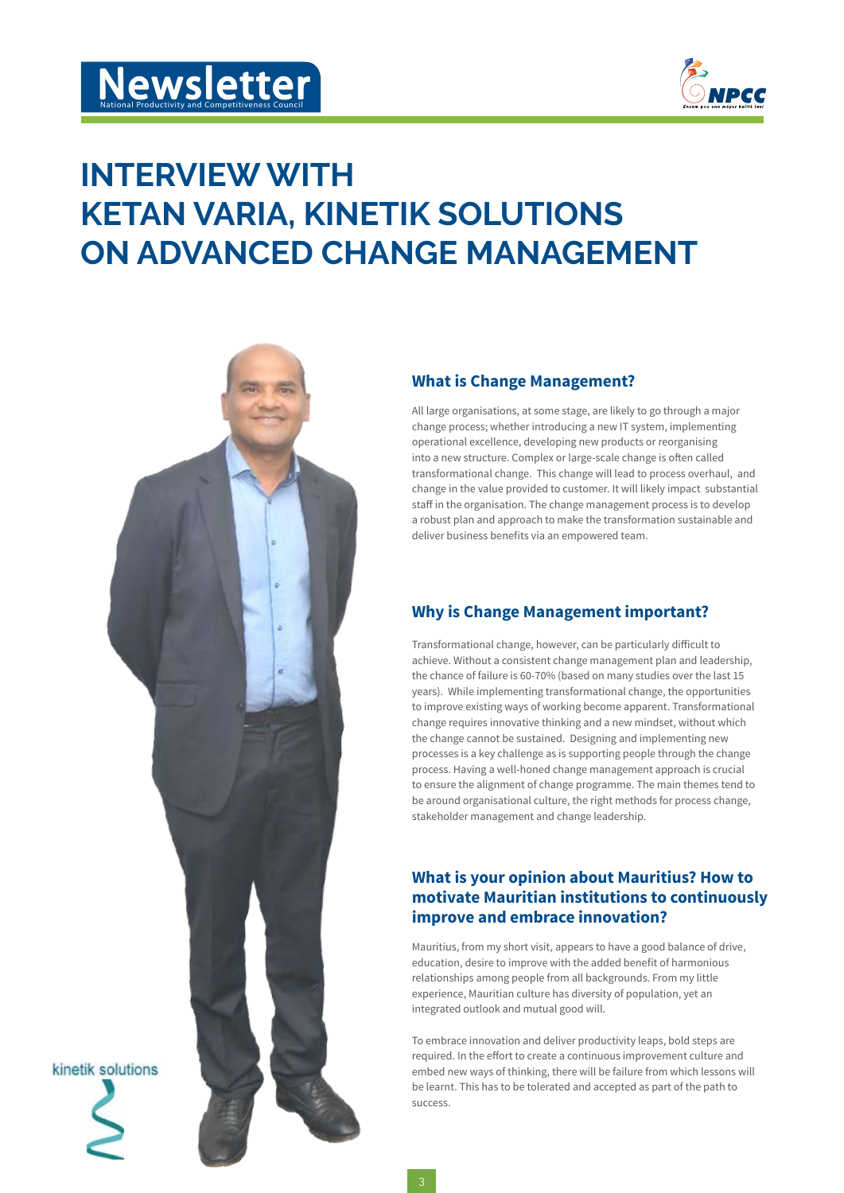

## **INTERVIEW WITH KETAN VARIA, KINETIK SOLUTIONS ON ADVANCED CHANGE MANAGEMENT**



### **What is Change Management?**

All large organisations, at some stage, are likely to go through a major change process; whether introducing a new IT system, implementing operational excellence, developing new products or reorganising into a new structure. Complex or large-scale change is often called transformational change. This change will lead to process overhaul, and change in the value provided to customer. It will likely impact substantial staff in the organisation. The change management process is to develop a robust plan and approach to make the transformation sustainable and deliver business benefits via an empowered team.

## **Why is Change Management important?**

Transformational change, however, can be particularly difficult to achieve. Without a consistent change management plan and leadership, the chance of failure is 60-70% (based on many studies over the last 15 years). While implementing transformational change, the opportunities to improve existing ways of working become apparent. Transformational change requires innovative thinking and a new mindset, without which the change cannot be sustained. Designing and implementing new processes is a key challenge as is supporting people through the change process. Having a well-honed change management approach is crucial to ensure the alignment of change programme. The main themes tend to be around organisational culture, the right methods for process change, stakeholder management and change leadership.

## **What is your opinion about Mauritius? How to motivate Mauritian institutions to continuously improve and embrace innovation?**

Mauritius, from my short visit, appears to have a good balance of drive, education, desire to improve with the added benefit of harmonious relationships among people from all backgrounds. From my little experience, Mauritian culture has diversity of population, yet an integrated outlook and mutual good will.

To embrace innovation and deliver productivity leaps, bold steps are required. In the effort to create a continuous improvement culture and embed new ways of thinking, there will be failure from which lessons will be learnt. This has to be tolerated and accepted as part of the path to success.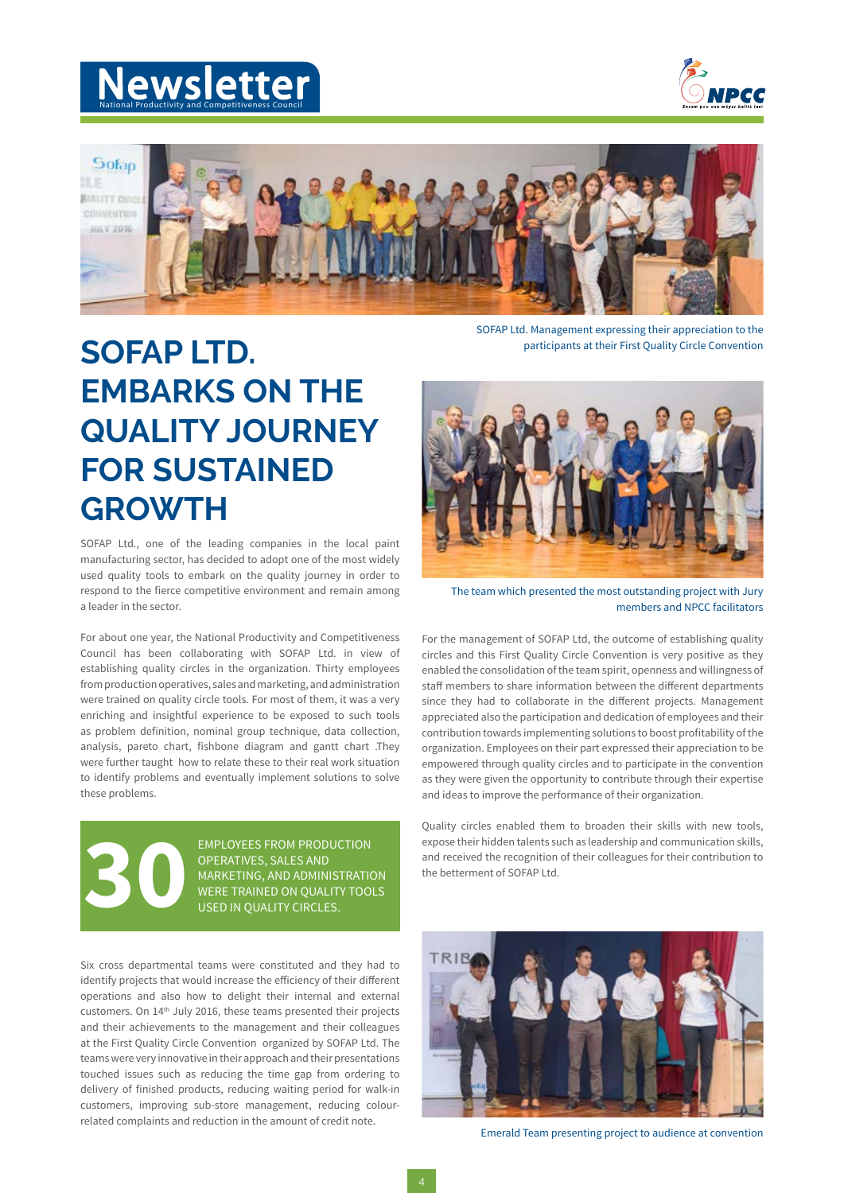



Sofan 93 E **BIALITY CIRCI** couvrimm  $HIIV2016$ 



SOFAP Ltd. Management expressing their appreciation to the participants at their First Quality Circle Convention

## **SOFAP LTD. EMBARKS ON THE QUALITY JOURNEY FOR SUSTAINED GROWTH**

SOFAP Ltd., one of the leading companies in the local paint manufacturing sector, has decided to adopt one of the most widely used quality tools to embark on the quality journey in order to respond to the fierce competitive environment and remain among a leader in the sector.

For about one year, the National Productivity and Competitiveness Council has been collaborating with SOFAP Ltd. in view of establishing quality circles in the organization. Thirty employees from production operatives, sales and marketing, and administration were trained on quality circle tools. For most of them, it was a very enriching and insightful experience to be exposed to such tools as problem definition, nominal group technique, data collection, analysis, pareto chart, fishbone diagram and gantt chart .They were further taught how to relate these to their real work situation to identify problems and eventually implement solutions to solve these problems.



EMPLOYEES FROM PRODUCTION OPERATIVES, SALES AND MARKETING, AND ADMINISTRATION<br>WERE TRAINED ON QUALITY TOOLS EMPLOYEES FROM PRODUCTION<br>OPERATIVES, SALES AND<br>MARKETING, AND ADMINISTRATION<br>WERE TRAINED ON QUALITY TOOLS<br>USED IN QUALITY CIRCLES.

Six cross departmental teams were constituted and they had to identify projects that would increase the efficiency of their different operations and also how to delight their internal and external customers. On 14th July 2016, these teams presented their projects and their achievements to the management and their colleagues at the First Quality Circle Convention organized by SOFAP Ltd. The teams were very innovative in their approach and their presentations touched issues such as reducing the time gap from ordering to delivery of finished products, reducing waiting period for walk-in customers, improving sub-store management, reducing colourrelated complaints and reduction in the amount of credit note.



The team which presented the most outstanding project with Jury members and NPCC facilitators

For the management of SOFAP Ltd, the outcome of establishing quality circles and this First Quality Circle Convention is very positive as they enabled the consolidation of the team spirit, openness and willingness of staff members to share information between the different departments since they had to collaborate in the different projects. Management appreciated also the participation and dedication of employees and their contribution towards implementing solutions to boost profitability of the organization. Employees on their part expressed their appreciation to be empowered through quality circles and to participate in the convention as they were given the opportunity to contribute through their expertise and ideas to improve the performance of their organization.

Quality circles enabled them to broaden their skills with new tools, expose their hidden talents such as leadership and communication skills, and received the recognition of their colleagues for their contribution to the betterment of SOFAP Ltd.



Emerald Team presenting project to audience at convention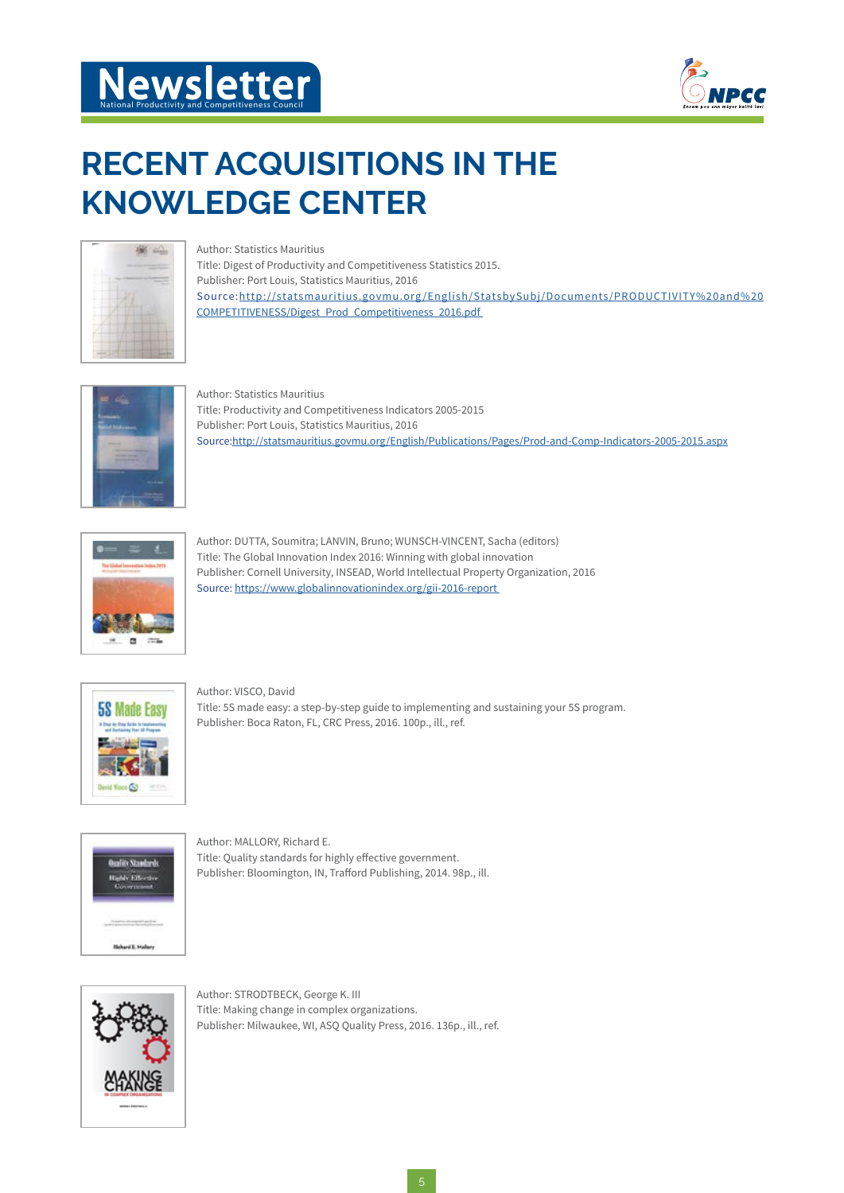# **Newsletter**



## **RECENT ACQUISITIONS IN THE KNOWLEDGE CENTER**



Author: Statistics Mauritius Title: Digest of Productivity and Competitiveness Statistics 2015. Publisher: Port Louis, Statistics Mauritius, 2016 Source:http://statsmauritius.govmu.org/English/StatsbySubj/Documents/PRODUCTIVITY%20and%20 COMPETITIVENESS/Digest\_Prod\_Competitiveness\_2016.pdf



Author: Statistics Mauritius Title: Productivity and Competitiveness Indicators 2005-2015 Publisher: Port Louis, Statistics Mauritius, 2016 Source:http://statsmauritius.govmu.org/English/Publications/Pages/Prod-and-Comp-Indicators-2005-2015.aspx



Author: DUTTA, Soumitra; LANVIN, Bruno; WUNSCH-VINCENT, Sacha (editors) Title: The Global Innovation Index 2016: Winning with global innovation Publisher: Cornell University, INSEAD, World Intellectual Property Organization, 2016 Source: https://www.globalinnovationindex.org/gii-2016-report



Author: VISCO, David Title: 5S made easy: a step-by-step guide to implementing and sustaining your 5S program. Publisher: Boca Raton, FL, CRC Press, 2016. 100p., ill., ref.



Author: MALLORY, Richard E. Title: Quality standards for highly effective government. Publisher: Bloomington, IN, Trafford Publishing, 2014. 98p., ill.



Author: STRODTBECK, George K. III Title: Making change in complex organizations. Publisher: Milwaukee, WI, ASQ Quality Press, 2016. 136p., ill., ref.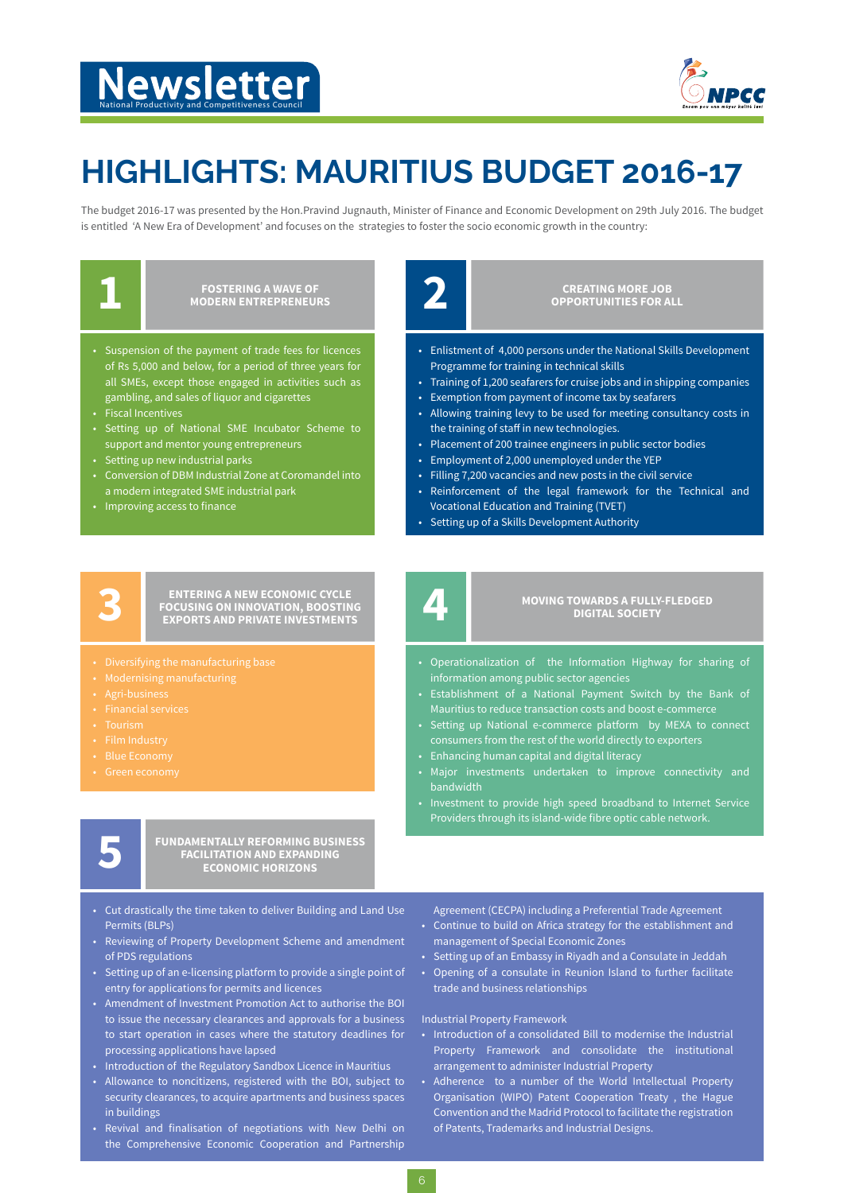# National Productivity and Competitiveness Council



## **HIGHLIGHTS: MAURITIUS BUDGET 2016-17**

The budget 2016-17 was presented by the Hon.Pravind Jugnauth, Minister of Finance and Economic Development on 29th July 2016. The budget is entitled 'A New Era of Development' and focuses on the strategies to foster the socio economic growth in the country:

**FOSTERING A WAVE OF 2012 12:25 PM 2014** 

- Suspension of the payment of trade fees for licences of Rs 5,000 and below, for a period of three years for all SMEs, except those engaged in activities such as gambling, and sales of liquor and cigarettes
- **Fiscal Incentives**
- Setting up of National SME Incubator Scheme to support and mentor young entrepreneurs
- Setting up new industrial parks
- Conversion of DBM Industrial Zone at Coromandel into a modern integrated SME industrial park
- Improving access to finance

**CREATING MORE JOB OPPORTUNITIES FOR ALL**

- Enlistment of 4,000 persons under the National Skills Development Programme for training in technical skills
- Training of 1,200 seafarers for cruise jobs and in shipping companies Exemption from payment of income tax by seafarers
- Allowing training levy to be used for meeting consultancy costs in the training of staff in new technologies.
- Placement of 200 trainee engineers in public sector bodies
- Employment of 2,000 unemployed under the YEP
- Filling 7,200 vacancies and new posts in the civil service
- Reinforcement of the legal framework for the Technical and Vocational Education and Training (TVET)
- Setting up of a Skills Development Authority



**ENTERING A NEW ECONOMIC CYCLE EXPORTS AND PRIVATE INVESTMENTS** 

- 
- 
- 
- 
- 
- 
- 
- 

**FUNDAMENTALLY REFORMING BUSINESS**<br>
FACILITATION AND EXPANDING<br>
ECONOMIC HORIZONS

- Cut drastically the time taken to deliver Building and Land Use Permits (BLPs)
- Reviewing of Property Development Scheme and amendment of PDS regulations
- Setting up of an e-licensing platform to provide a single point of entry for applications for permits and licences
- Amendment of Investment Promotion Act to authorise the BOI to issue the necessary clearances and approvals for a business to start operation in cases where the statutory deadlines for processing applications have lapsed
- Introduction of the Regulatory Sandbox Licence in Mauritius
- Allowance to noncitizens, registered with the BOI, subject to security clearances, to acquire apartments and business spaces in buildings
- Revival and finalisation of negotiations with New Delhi on the Comprehensive Economic Cooperation and Partnership

Mauritius to reduce transaction costs and boost e-commerce

• Operationalization of the Information Highway for sharing of

**MOVING TOWARDS A FULLY-FLEDGED 4 DIGITAL SOCIETY**

- Setting up National e-commerce platform by MEXA to connect consumers from the rest of the world directly to exporters
- Enhancing human capital and digital literacy

information among public sector agencies

- Major investments undertaken to improve connectivity and bandwidth
- Investment to provide high speed broadband to Internet Service Providers through its island-wide fibre optic cable network.

Agreement (CECPA) including a Preferential Trade Agreement

- Continue to build on Africa strategy for the establishment and management of Special Economic Zones
- Setting up of an Embassy in Riyadh and a Consulate in Jeddah
- Opening of a consulate in Reunion Island to further facilitate trade and business relationships

### Industrial Property Framework

- Introduction of a consolidated Bill to modernise the Industrial Property Framework and consolidate the institutional arrangement to administer Industrial Property
- Adherence to a number of the World Intellectual Property Organisation (WIPO) Patent Cooperation Treaty , the Hague Convention and the Madrid Protocol to facilitate the registration of Patents, Trademarks and Industrial Designs.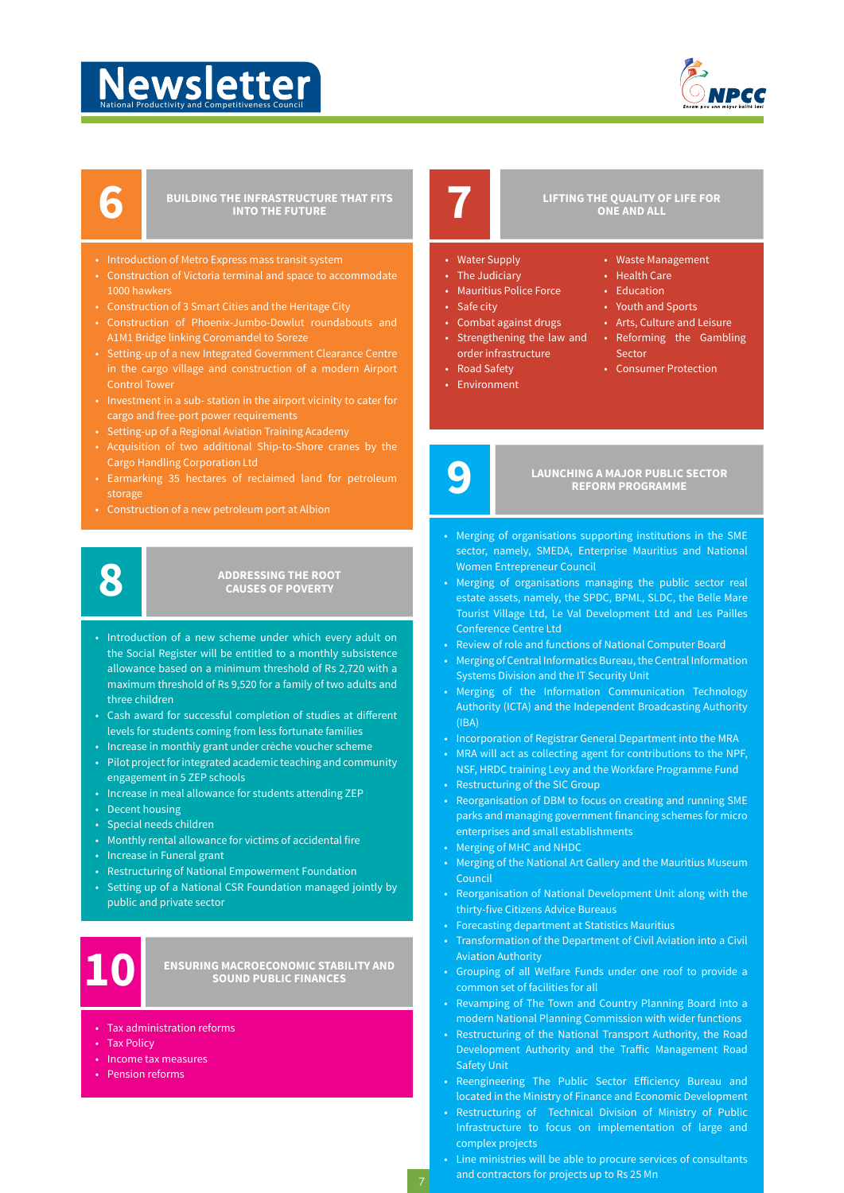# National Productivity and Competitiveness Council



## **BUILDING THE INFRASTRUCTURE THAT FITS**

- Introduction of Metro Express mass transit system
- Construction of Victoria terminal and space to accommodate 1000 hawkers
- Construction of 3 Smart Cities and the Heritage City
- Construction of Phoenix-Jumbo-Dowlut roundabouts and A1M1 Bridge linking Coromandel to Soreze
- Setting-up of a new Integrated Government Clearance Centre in the cargo village and construction of a modern Airport Control Tower
- Investment in a sub- station in the airport vicinity to cater for cargo and free-port power requirements
- Setting-up of a Regional Aviation Training Academy
- Cargo Handling Corporation Ltd
- Earmarking 35 hectares of reclaimed land for petroleum storage
- Construction of a new petroleum port at Albion



## **ADDRESSING THE ROOT 8 CAUSES OF POVERTY**

- Introduction of a new scheme under which every adult on the Social Register will be entitled to a monthly subsistence allowance based on a minimum threshold of Rs 2,720 with a maximum threshold of Rs 9,520 for a family of two adults and three children
- Cash award for successful completion of studies at different levels for students coming from less fortunate families
- Increase in monthly grant under crèche voucher scheme
- Pilot project for integrated academic teaching and community engagement in 5 ZEP schools
- Increase in meal allowance for students attending ZEP
- Decent housing
- Special needs children
- Monthly rental allowance for victims of accidental fire
- Increase in Funeral grant
- Restructuring of National Empowerment Foundation
- Setting up of a National CSR Foundation managed jointly by public and private sector

**ENSURING MACROECONOMIC STABILITY AND 10 SOUND PUBLIC FINANCES**

- Tax administration reforms
- Tax Policy
- Income tax measures
- Pension reforms

## **LIFTING THE QUALITY OF LIFE FOR 7 ONE AND ALL**

• Waste Management • Health Care • Education • Youth and Sports • Arts, Culture and Leisure • Reforming the Gambling

• Consumer Protection

- Water Supply
- The Judiciary
- Mauritius Police Force
- Safe city
- Combat against drugs Strengthening the law and
- order infrastructure • Road Safety
- 
- Environment
- 
- 

## **LAUNCHING A MAJOR PUBLIC SECTOR REFORM PROGRAMME**

Sector

- Merging of organisations supporting institutions in the SME sector, namely, SMEDA, Enterprise Mauritius and National Women Entrepreneur Council
- Merging of organisations managing the public sector real estate assets, namely, the SPDC, BPML, SLDC, the Belle Mare Tourist Village Ltd, Le Val Development Ltd and Les Pailles Conference Centre Ltd
- Review of role and functions of National Computer Board
- Merging of Central Informatics Bureau, the Central Information Systems Division and the IT Security Unit
- Merging of the Information Communication Technology Authority (ICTA) and the Independent Broadcasting Authority (IBA)
- Incorporation of Registrar General Department into the MRA
- MRA will act as collecting agent for contributions to the NPF, NSF, HRDC training Levy and the Workfare Programme Fund
- Restructuring of the SIC Group
- Reorganisation of DBM to focus on creating and running SME parks and managing government financing schemes for micro enterprises and small establishments
- Merging of MHC and NHDC
- Merging of the National Art Gallery and the Mauritius Museum Council
- Reorganisation of National Development Unit along with the thirty-five Citizens Advice Bureaus
- Forecasting department at Statistics Mauritius
- Transformation of the Department of Civil Aviation into a Civil Aviation Authority
- Grouping of all Welfare Funds under one roof to provide a common set of facilities for all
- Revamping of The Town and Country Planning Board into a modern National Planning Commission with wider functions
- Restructuring of the National Transport Authority, the Road Development Authority and the Traffic Management Road Safety Unit
- Reengineering The Public Sector Efficiency Bureau and located in the Ministry of Finance and Economic Development
- Restructuring of Technical Division of Ministry of Public Infrastructure to focus on implementation of large and complex projects
- Line ministries will be able to procure services of consultants and contractors for projects up to Rs 25 Mn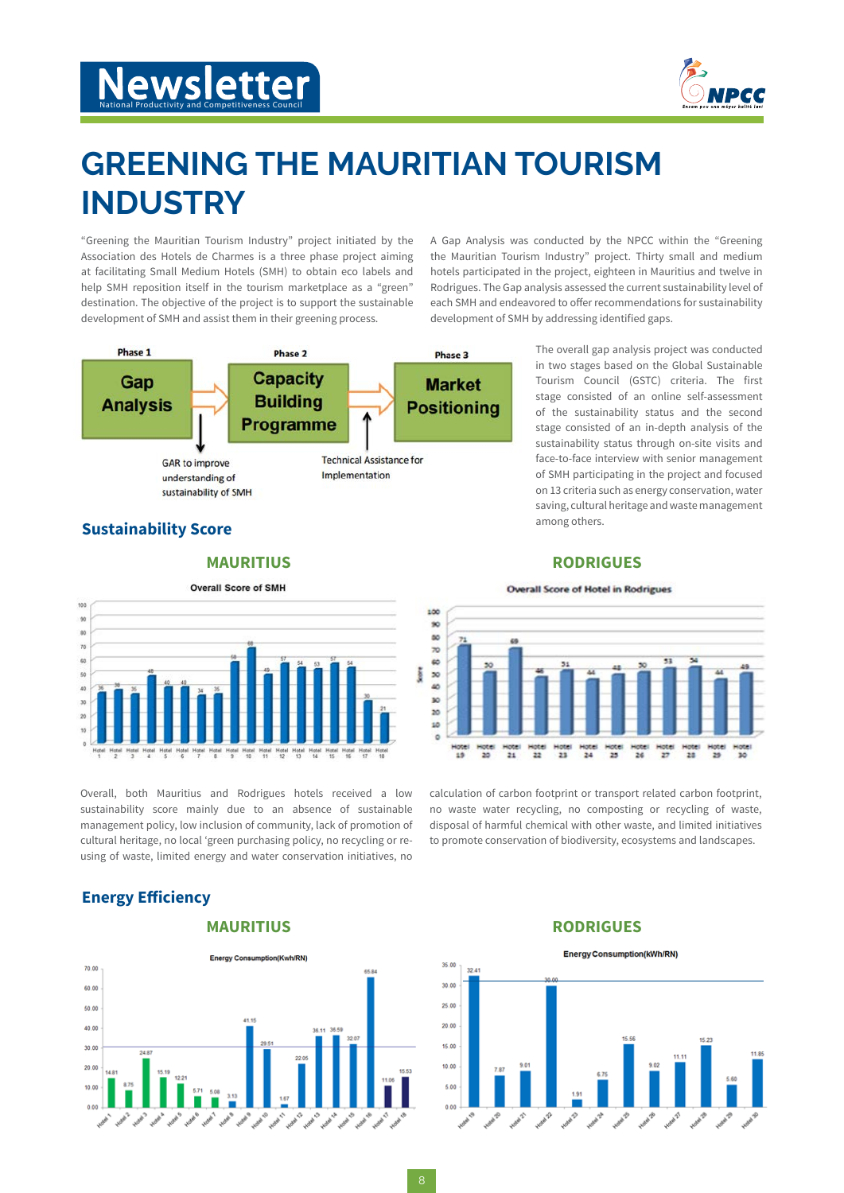

## **GREENING THE MAURITIAN TOURISM INDUSTRY**

"Greening the Mauritian Tourism Industry" project initiated by the Association des Hotels de Charmes is a three phase project aiming at facilitating Small Medium Hotels (SMH) to obtain eco labels and help SMH reposition itself in the tourism marketplace as a "green" destination. The objective of the project is to support the sustainable development of SMH and assist them in their greening process.



the Mauritian Tourism Industry" project. Thirty small and medium hotels participated in the project, eighteen in Mauritius and twelve in Rodrigues. The Gap analysis assessed the current sustainability level of each SMH and endeavored to offer recommendations for sustainability development of SMH by addressing identified gaps.

A Gap Analysis was conducted by the NPCC within the "Greening

The overall gap analysis project was conducted in two stages based on the Global Sustainable Tourism Council (GSTC) criteria. The first stage consisted of an online self-assessment of the sustainability status and the second stage consisted of an in-depth analysis of the sustainability status through on-site visits and face-to-face interview with senior management of SMH participating in the project and focused on 13 criteria such as energy conservation, water saving, cultural heritage and waste management among others.

## **Sustainability Score**

### **MAURITIUS**



Overall, both Mauritius and Rodrigues hotels received a low sustainability score mainly due to an absence of sustainable management policy, low inclusion of community, lack of promotion of cultural heritage, no local 'green purchasing policy, no recycling or reusing of waste, limited energy and water conservation initiatives, no

## **Energy Efficiency**

**MAURITIUS**



### **RODRIGUES**

### **Overall Score of Hotel in Rodrigues**



calculation of carbon footprint or transport related carbon footprint, no waste water recycling, no composting or recycling of waste, disposal of harmful chemical with other waste, and limited initiatives to promote conservation of biodiversity, ecosystems and landscapes.

### **RODRIGUES**

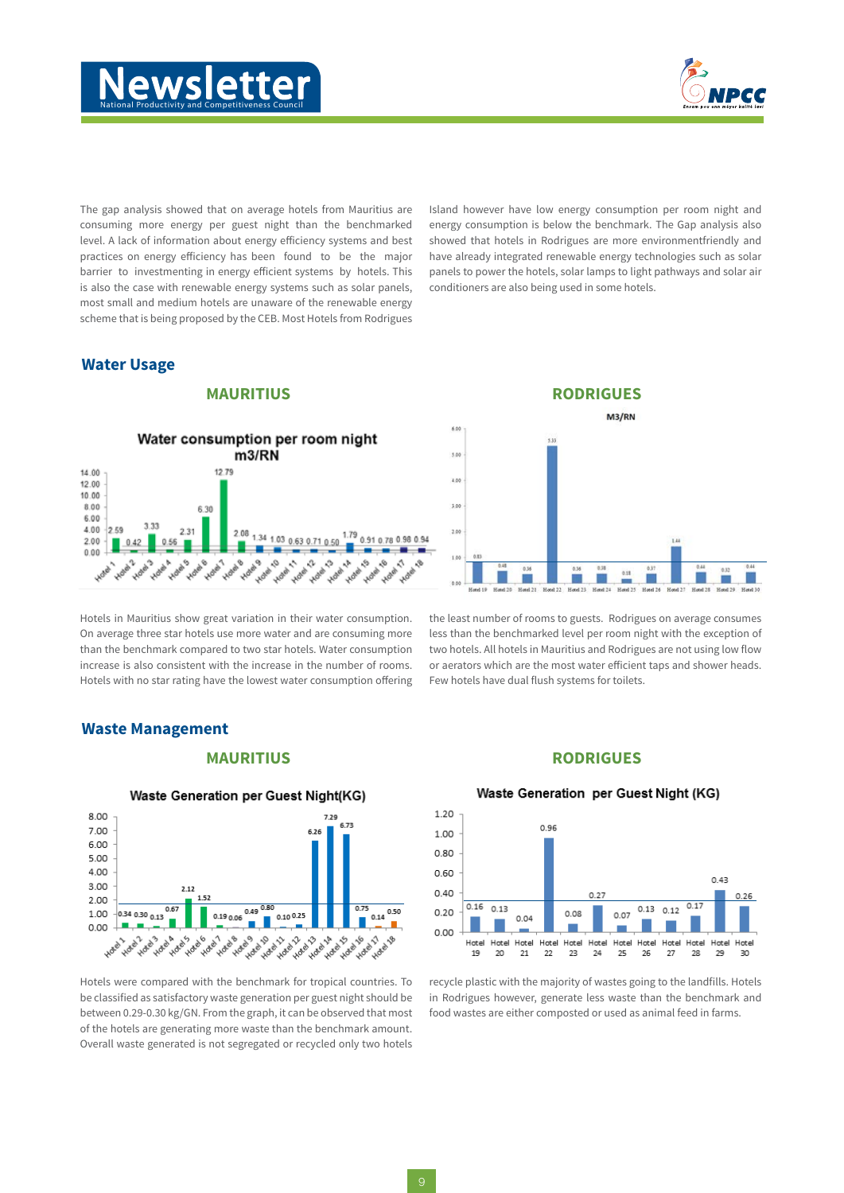



The gap analysis showed that on average hotels from Mauritius are consuming more energy per guest night than the benchmarked level. A lack of information about energy efficiency systems and best practices on energy efficiency has been found to be the major barrier to investmenting in energy efficient systems by hotels. This is also the case with renewable energy systems such as solar panels, most small and medium hotels are unaware of the renewable energy scheme that is being proposed by the CEB. Most Hotels from Rodrigues

### **Water Usage**

### **MAURITIUS**



Hotels in Mauritius show great variation in their water consumption. On average three star hotels use more water and are consuming more than the benchmark compared to two star hotels. Water consumption increase is also consistent with the increase in the number of rooms. Hotels with no star rating have the lowest water consumption offering Island however have low energy consumption per room night and energy consumption is below the benchmark. The Gap analysis also showed that hotels in Rodrigues are more environmentfriendly and have already integrated renewable energy technologies such as solar panels to power the hotels, solar lamps to light pathways and solar air conditioners are also being used in some hotels.



the least number of rooms to guests. Rodrigues on average consumes less than the benchmarked level per room night with the exception of two hotels. All hotels in Mauritius and Rodrigues are not using low flow or aerators which are the most water efficient taps and shower heads. Few hotels have dual flush systems for toilets.

### **Waste Management**

### **MAURITIUS**



Waste Generation per Guest Night(KG)

Hotels were compared with the benchmark for tropical countries. To be classified as satisfactory waste generation per guest night should be between 0.29-0.30 kg/GN. From the graph, it can be observed that most of the hotels are generating more waste than the benchmark amount. Overall waste generated is not segregated or recycled only two hotels

### **RODRIGUES**



Waste Generation per Guest Night (KG)

recycle plastic with the majority of wastes going to the landfills. Hotels in Rodrigues however, generate less waste than the benchmark and food wastes are either composted or used as animal feed in farms.